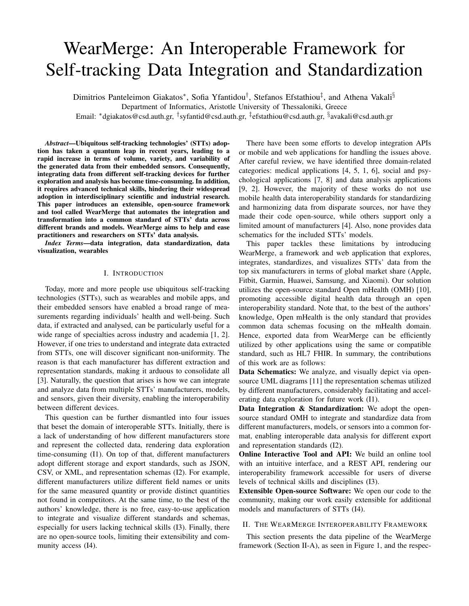# WearMerge: An Interoperable Framework for Self-tracking Data Integration and Standardization

Dimitrios Panteleimon Giakatos\*, Sofia Yfantidou<sup>†</sup>, Stefanos Efstathiou<sup>‡</sup>, and Athena Vakali<sup>§</sup> Department of Informatics, Aristotle University of Thessaloniki, Greece

Email: \*dgiakatos@csd.auth.gr, <sup>†</sup>syfantid@csd.auth.gr, <sup>‡</sup>efstathiou@csd.auth.gr, <sup>§</sup>avakali@csd.auth.gr

*Abstract*—Ubiquitous self-tracking technologies' (STTs) adoption has taken a quantum leap in recent years, leading to a rapid increase in terms of volume, variety, and variability of the generated data from their embedded sensors. Consequently, integrating data from different self-tracking devices for further exploration and analysis has become time-consuming. In addition, it requires advanced technical skills, hindering their widespread adoption in interdisciplinary scientific and industrial research. This paper introduces an extensible, open-source framework and tool called WearMerge that automates the integration and transformation into a common standard of STTs' data across different brands and models. WearMerge aims to help and ease practitioners and researchers on STTs' data analysis.

*Index Terms*—data integration, data standardization, data visualization, wearables

## I. INTRODUCTION

Today, more and more people use ubiquitous self-tracking technologies (STTs), such as wearables and mobile apps, and their embedded sensors have enabled a broad range of measurements regarding individuals' health and well-being. Such data, if extracted and analysed, can be particularly useful for a wide range of specialties across industry and academia [1, 2]. However, if one tries to understand and integrate data extracted from STTs, one will discover significant non-uniformity. The reason is that each manufacturer has different extraction and representation standards, making it arduous to consolidate all [3]. Naturally, the question that arises is how we can integrate and analyze data from multiple STTs' manufacturers, models, and sensors, given their diversity, enabling the interoperability between different devices.

This question can be further dismantled into four issues that beset the domain of interoperable STTs. Initially, there is a lack of understanding of how different manufacturers store and represent the collected data, rendering data exploration time-consuming (I1). On top of that, different manufacturers adopt different storage and export standards, such as JSON, CSV, or XML, and representation schemas (I2). For example, different manufacturers utilize different field names or units for the same measured quantity or provide distinct quantities not found in competitors. At the same time, to the best of the authors' knowledge, there is no free, easy-to-use application to integrate and visualize different standards and schemas, especially for users lacking technical skills (I3). Finally, there are no open-source tools, limiting their extensibility and community access (I4).

There have been some efforts to develop integration APIs or mobile and web applications for handling the issues above. After careful review, we have identified three domain-related categories: medical applications [4, 5, 1, 6], social and psychological applications [7, 8] and data analysis applications [9, 2]. However, the majority of these works do not use mobile health data interoperability standards for standardizing and harmonizing data from disparate sources, nor have they made their code open-source, while others support only a limited amount of manufacturers [4]. Also, none provides data schematics for the included STTs' models.

This paper tackles these limitations by introducing WearMerge, a framework and web application that explores, integrates, standardizes, and visualizes STTs' data from the top six manufacturers in terms of global market share (Apple, Fitbit, Garmin, Huawei, Samsung, and Xiaomi). Our solution utilizes the open-source standard Open mHealth (OMH) [10], promoting accessible digital health data through an open interoperability standard. Note that, to the best of the authors' knowledge, Open mHealth is the only standard that provides common data schemas focusing on the mHealth domain. Hence, exported data from WearMerge can be efficiently utilized by other applications using the same or compatible standard, such as HL7 FHIR. In summary, the contributions of this work are as follows:

Data Schematics: We analyze, and visually depict via opensource UML diagrams [11] the representation schemas utilized by different manufacturers, considerably facilitating and accelerating data exploration for future work (I1).

Data Integration & Standardization: We adopt the opensource standard OMH to integrate and standardize data from different manufacturers, models, or sensors into a common format, enabling interoperable data analysis for different export and representation standards (I2).

Online Interactive Tool and API: We build an online tool with an intuitive interface, and a REST API, rendering our interoperability framework accessible for users of diverse levels of technical skills and disciplines (I3).

Extensible Open-source Software: We open our code to the community, making our work easily extensible for additional models and manufacturers of STTs (I4).

## II. THE WEARMERGE INTEROPERABILITY FRAMEWORK

This section presents the data pipeline of the WearMerge framework (Section II-A), as seen in Figure 1, and the respec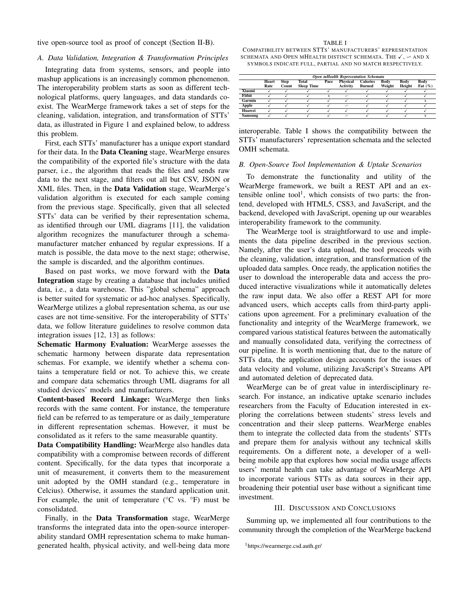tive open-source tool as proof of concept (Section II-B).

## *A. Data Validation, Integration & Transformation Principles*

Integrating data from systems, sensors, and people into mashup applications is an increasingly common phenomenon. The interoperability problem starts as soon as different technological platforms, query languages, and data standards coexist. The WearMerge framework takes a set of steps for the cleaning, validation, integration, and transformation of STTs' data, as illustrated in Figure 1 and explained below, to address this problem.

First, each STTs' manufacturer has a unique export standard for their data. In the Data Cleaning stage, WearMerge ensures the compatibility of the exported file's structure with the data parser, i.e., the algorithm that reads the files and sends raw data to the next stage, and filters out all but CSV, JSON or XML files. Then, in the Data Validation stage, WearMerge's validation algorithm is executed for each sample coming from the previous stage. Specifically, given that all selected STTs' data can be verified by their representation schema, as identified through our UML diagrams [11], the validation algorithm recognizes the manufacturer through a schemamanufacturer matcher enhanced by regular expressions. If a match is possible, the data move to the next stage; otherwise, the sample is discarded, and the algorithm continues.

Based on past works, we move forward with the Data Integration stage by creating a database that includes unified data, i.e., a data warehouse. This "global schema" approach is better suited for systematic or ad-hoc analyses. Specifically, WearMerge utilizes a global representation schema, as our use cases are not time-sensitive. For the interoperability of STTs' data, we follow literature guidelines to resolve common data integration issues [12, 13] as follows:

Schematic Harmony Evaluation: WearMerge assesses the schematic harmony between disparate data representation schemas. For example, we identify whether a schema contains a temperature field or not. To achieve this, we create and compare data schematics through UML diagrams for all studied devices' models and manufacturers.

Content-based Record Linkage: WearMerge then links records with the same content. For instance, the temperature field can be referred to as temperature or as daily temperature in different representation schemas. However, it must be consolidated as it refers to the same measurable quantity.

Data Compatibility Handling: WearMerge also handles data compatibility with a compromise between records of different content. Specifically, for the data types that incorporate a unit of measurement, it converts them to the measurement unit adopted by the OMH standard (e.g., temperature in Celcius). Otherwise, it assumes the standard application unit. For example, the unit of temperature ( $\rm{°C}$  vs.  $\rm{°F}$ ) must be consolidated.

Finally, in the Data Transformation stage, WearMerge transforms the integrated data into the open-source interoperability standard OMH representation schema to make humangenerated health, physical activity, and well-being data more

COMPATIBILITY BETWEEN STTS' MANUFACTURERS' REPRESENTATION SCHEMATA AND OPEN MHEALTH DISTINCT SCHEMATA. THE  $\checkmark$ ,  $\sim$  AND X SYMBOLS INDICATE FULL, PARTIAL AND NO MATCH RESPECTIVELY.

|                | Open mHealth Representation Schemata |                      |                            |      |                                    |                                  |                |                |                    |
|----------------|--------------------------------------|----------------------|----------------------------|------|------------------------------------|----------------------------------|----------------|----------------|--------------------|
|                | Heart<br>Rate                        | <b>Step</b><br>Count | Total<br><b>Sleep Time</b> | Pace | <b>Physical</b><br><b>Activity</b> | <b>Calories</b><br><b>Burned</b> | Body<br>Weight | Body<br>Height | Body<br>Fat $(\%)$ |
| <b>Xiaomi</b>  |                                      |                      |                            |      |                                    |                                  |                |                |                    |
| <b>Fitbit</b>  |                                      |                      |                            | x    | $\sim$                             |                                  |                |                |                    |
| Garmin         |                                      |                      |                            |      |                                    |                                  |                |                |                    |
| Apple          |                                      |                      |                            |      | $\sim$                             |                                  |                |                |                    |
| Huawei         |                                      |                      |                            |      |                                    |                                  |                |                |                    |
| <b>Samsung</b> |                                      |                      |                            |      | $\sim$                             |                                  |                |                |                    |

interoperable. Table I shows the compatibility between the STTs' manufacturers' representation schemata and the selected OMH schemata.

## *B. Open-Source Tool Implementation & Uptake Scenarios*

To demonstrate the functionality and utility of the WearMerge framework, we built a REST API and an extensible online tool<sup>1</sup>, which consists of two parts: the frontend, developed with HTML5, CSS3, and JavaScript, and the backend, developed with JavaScript, opening up our wearables interoperability framework to the community.

The WearMerge tool is straightforward to use and implements the data pipeline described in the previous section. Namely, after the user's data upload, the tool proceeds with the cleaning, validation, integration, and transformation of the uploaded data samples. Once ready, the application notifies the user to download the interoperable data and access the produced interactive visualizations while it automatically deletes the raw input data. We also offer a REST API for more advanced users, which accepts calls from third-party applications upon agreement. For a preliminary evaluation of the functionality and integrity of the WearMerge framework, we compared various statistical features between the automatically and manually consolidated data, verifying the correctness of our pipeline. It is worth mentioning that, due to the nature of STTs data, the application design accounts for the issues of data velocity and volume, utilizing JavaScript's Streams API and automated deletion of deprecated data.

WearMerge can be of great value in interdisciplinary research. For instance, an indicative uptake scenario includes researchers from the Faculty of Education interested in exploring the correlations between students' stress levels and concentration and their sleep patterns. WearMerge enables them to integrate the collected data from the students' STTs and prepare them for analysis without any technical skills requirements. On a different note, a developer of a wellbeing mobile app that explores how social media usage affects users' mental health can take advantage of WearMerge API to incorporate various STTs as data sources in their app, broadening their potential user base without a significant time investment.

#### III. DISCUSSION AND CONCLUSIONS

Summing up, we implemented all four contributions to the community through the completion of the WearMerge backend

```
1https://wearmerge.csd.auth.gr/
```
#### TABLE I